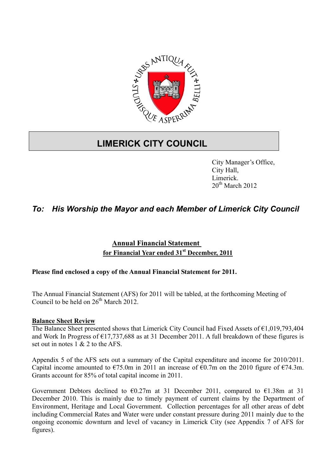

# **LIMERICK CITY COUNCIL**

City Manager's Office, City Hall, Limerick.  $20^{th}$  March 2012

## *To: His Worship the Mayor and each Member of Limerick City Council*

### **Annual Financial Statement for Financial Year ended 31st December, 2011**

#### **Please find enclosed a copy of the Annual Financial Statement for 2011.**

The Annual Financial Statement (AFS) for 2011 will be tabled, at the forthcoming Meeting of Council to be held on  $26<sup>th</sup>$  March  $2012$ .

#### **Balance Sheet Review**

The Balance Sheet presented shows that Limerick City Council had Fixed Assets of €1,019,793,404 and Work In Progress of  $\epsilon$ 17,737,688 as at 31 December 2011. A full breakdown of these figures is set out in notes 1 & 2 to the AFS.

Appendix 5 of the AFS sets out a summary of the Capital expenditure and income for 2010/2011. Capital income amounted to  $\epsilon$ 75.0m in 2011 an increase of  $\epsilon$ 0.7m on the 2010 figure of  $\epsilon$ 74.3m. Grants account for 85% of total capital income in 2011.

Government Debtors declined to  $\epsilon$ 0.27m at 31 December 2011, compared to  $\epsilon$ 1.38m at 31 December 2010. This is mainly due to timely payment of current claims by the Department of Environment, Heritage and Local Government. Collection percentages for all other areas of debt including Commercial Rates and Water were under constant pressure during 2011 mainly due to the ongoing economic downturn and level of vacancy in Limerick City (see Appendix 7 of AFS for figures).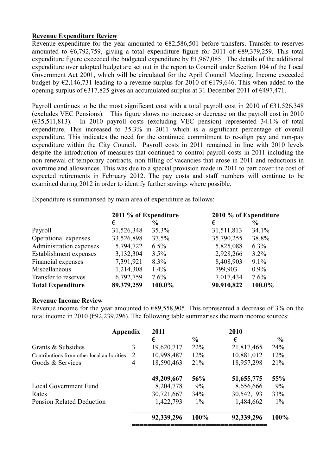#### **Revenue Expenditure Review**

Revenue expenditure for the year amounted to  $E$ 82,586,501 before transfers. Transfer to reserves amounted to €6,792,759, giving a total expenditure figure for 2011 of €89,379,259. This total expenditure figure exceeded the budgeted expenditure by  $\epsilon$ 1,967,085. The details of the additional expenditure over adopted budget are set out in the report to Council under Section 104 of the Local Government Act 2001, which will be circulated for the April Council Meeting. Income exceeded budget by  $\epsilon$ 2,146,731 leading to a revenue surplus for 2010 of  $\epsilon$ 179,646. This when added to the opening surplus of  $\epsilon$ 317.825 gives an accumulated surplus at 31 December 2011 of  $\epsilon$ 497.471.

Payroll continues to be the most significant cost with a total payroll cost in 2010 of  $\epsilon$ 31,526,348 (excludes VEC Pensions). This figure shows no increase or decrease on the payroll cost in 2010  $(635,511,813)$ . In 2010 payroll costs (excluding VEC pension) represented 34.1% of total expenditure. This increased to 35.3% in 2011 which is a significant percentage of overall expenditure. This indicates the need for the continued commitment to re-align pay and non-pay expenditure within the City Council. Payroll costs in 2011 remained in line with 2010 levels despite the introduction of measures that continued to control payroll costs in 2011 including the non renewal of temporary contracts, non filling of vacancies that arose in 2011 and reductions in overtime and allowances. This was due to a special provision made in 2011 to part cover the cost of expected retirements in February 2012. The pay costs and staff numbers will continue to be examined during 2012 in order to identify further savings where possible.

Expenditure is summarised by main area of expenditure as follows:

|                          | 2011 % of Expenditure |               | 2010 % of Expenditure |                |  |
|--------------------------|-----------------------|---------------|-----------------------|----------------|--|
|                          | €                     | $\frac{0}{0}$ | €                     | $\frac{6}{10}$ |  |
| Payroll                  | 31,526,348            | 35.3%         | 31,511,813            | 34.1%          |  |
| Operational expenses     | 33,526,898            | 37.5%         | 35,790,255            | 38.8%          |  |
| Administration expenses  | 5,794,722             | $6.5\%$       | 5,825,088             | $6.3\%$        |  |
| Establishment expenses   | 3,132,304             | 3.5%          | 2,928,266             | $3.2\%$        |  |
| Financial expenses       | 7,391,921             | 8.3%          | 8,408,903             | 9.1%           |  |
| Miscellaneous            | 1,214,308             | $1.4\%$       | 799,903               | $0.9\%$        |  |
| Transfer to reserves     | 6,792,759             | 7.6%          | 7,017,434             | 7.6%           |  |
| <b>Total Expenditure</b> | 89,379,259            | 100.0%        | 90,910,822            | 100.0%         |  |

#### **Revenue Income Review**

Revenue income for the year amounted to  $E89,558,905$ . This represented a decrease of 3% on the total income in 2010 ( $\epsilon$ 92,239,296). The following table summarises the main income sources:

| Appendix                                   |   | 2011            |               |            |               |
|--------------------------------------------|---|-----------------|---------------|------------|---------------|
|                                            |   | €               | $\frac{6}{9}$ | €          | $\frac{6}{9}$ |
| Grants & Subsidies                         | 3 | 19,620,717      | 22%           | 21,817,465 | 24%           |
| Contributions from other local authorities |   | 10,998,487<br>2 | 12%           | 10,881,012 | 12%           |
| Goods & Services                           | 4 | 18,590,463      | 21%           | 18,957,298 | 21%           |
|                                            |   | 49,209,667      | 56%           | 51,655,775 | 55%           |
| Local Government Fund                      |   | 8,204,778       | 9%            | 8,656,666  | 9%            |
| Rates                                      |   | 30,721,667      | 34%           | 30,542,193 | 33%           |
| <b>Pension Related Deduction</b>           |   | 1,422,793       | $1\%$         | 1,484,662  | $1\%$         |
|                                            |   | 92,339,296      | 100%          | 92,339,296 | 100%          |
|                                            |   |                 |               |            |               |